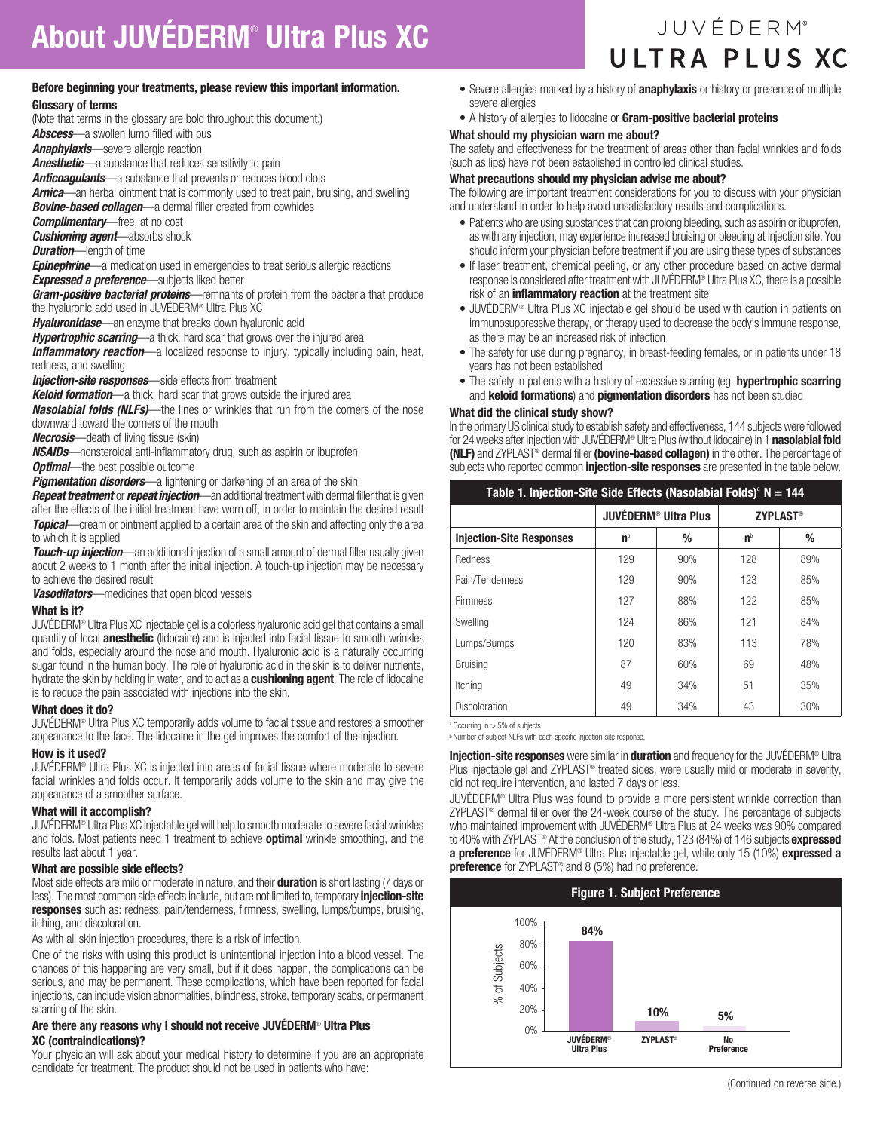# Before beginning your treatments, please review this important information.

Glossary of terms

(Note that terms in the glossary are bold throughout this document.)

*Abscess*—a swollen lump filled with pus

*Anaphylaxis*—severe allergic reaction

*Anesthetic*—a substance that reduces sensitivity to pain

*Anticoagulants*—a substance that prevents or reduces blood clots

*Arnica*—an herbal ointment that is commonly used to treat pain, bruising, and swelling *Bovine-based collagen*—a dermal filler created from cowhides

*Complimentary*—free, at no cost

*Cushioning agent*—absorbs shock

*Duration*—length of time

*Epinephrine*—a medication used in emergencies to treat serious allergic reactions *Expressed a preference*—subjects liked better

*Gram-positive bacterial proteins*—remnants of protein from the bacteria that produce the hyaluronic acid used in JUVÉDERM® Ultra Plus XC

*Hyaluronidase*—an enzyme that breaks down hyaluronic acid

*Hypertrophic scarring*—a thick, hard scar that grows over the injured area

**Inflammatory reaction**—a localized response to injury, typically including pain, heat, redness, and swelling

**Injection-site responses**—side effects from treatment

*Keloid formation*—a thick, hard scar that grows outside the injured area

*Nasolabial folds (NLFs)*—the lines or wrinkles that run from the corners of the nose downward toward the corners of the mouth

*Necrosis*—death of living tissue (skin)

*NSAIDs*—nonsteroidal anti-inflammatory drug, such as aspirin or ibuprofen

*Optimal*—the best possible outcome

**Pigmentation disorders**—a lightening or darkening of an area of the skin

*Repeat treatment* or *repeat injection*—an additional treatment with dermal filler that is given after the effects of the initial treatment have worn off, in order to maintain the desired result **Topical**—cream or ointment applied to a certain area of the skin and affecting only the area to which it is applied

**Touch-up injection**—an additional injection of a small amount of dermal filler usually given about 2 weeks to 1 month after the initial injection. A touch-up injection may be necessary to achieve the desired result

*Vasodilators*—medicines that open blood vessels

#### What is it?

JUVÉDERM® Ultra Plus XC injectable gel is a colorless hyaluronic acid gel that contains a small quantity of local **anesthetic** (lidocaine) and is injected into facial tissue to smooth wrinkles and folds, especially around the nose and mouth. Hyaluronic acid is a naturally occurring sugar found in the human body. The role of hyaluronic acid in the skin is to deliver nutrients, hydrate the skin by holding in water, and to act as a **cushioning agent**. The role of lidocaine is to reduce the pain associated with injections into the skin.

#### What does it do?

JUVÉDERM® Ultra Plus XC temporarily adds volume to facial tissue and restores a smoother appearance to the face. The lidocaine in the gel improves the comfort of the injection.

#### How is it used?

JUVÉDERM® Ultra Plus XC is injected into areas of facial tissue where moderate to severe facial wrinkles and folds occur. It temporarily adds volume to the skin and may give the appearance of a smoother surface.

#### What will it accomplish?

JUVÉDERM® Ultra Plus XC injectable gel will help to smooth moderate to severe facial wrinkles and folds. Most patients need 1 treatment to achieve **optimal** wrinkle smoothing, and the results last about 1 year.

#### What are possible side effects?

Most side effects are mild or moderate in nature, and their **duration** is short lasting (7 days or less). The most common side effects include, but are not limited to, temporary *injection-site* responses such as: redness, pain/tenderness, firmness, swelling, lumps/bumps, bruising, itching, and discoloration.

As with all skin injection procedures, there is a risk of infection.

One of the risks with using this product is unintentional injection into a blood vessel. The chances of this happening are very small, but if it does happen, the complications can be serious, and may be permanent. These complications, which have been reported for facial injections, can include vision abnormalities, blindness, stroke, temporary scabs, or permanent scarring of the skin.

## Are there any reasons why I should not receive JUVÉDERM® Ultra Plus XC (contraindications)?

Your physician will ask about your medical history to determine if you are an appropriate candidate for treatment. The product should not be used in patients who have:

- Severe allergies marked by a history of **anaphylaxis** or history or presence of multiple severe allergies
- A history of allergies to lidocaine or Gram-positive bacterial proteins

# What should my physician warn me about?

The safety and effectiveness for the treatment of areas other than facial wrinkles and folds (such as lips) have not been established in controlled clinical studies.

# What precautions should my physician advise me about?

The following are important treatment considerations for you to discuss with your physician and understand in order to help avoid unsatisfactory results and complications.

- Patients who are using substances that can prolong bleeding, such as aspirin or ibuprofen, as with any injection, may experience increased bruising or bleeding at injection site. You should inform your physician before treatment if you are using these types of substances
- If laser treatment, chemical peeling, or any other procedure based on active dermal response is considered after treatment with JUVÉDERM® Ultra Plus XC, there is a possible risk of an *inflammatory reaction* at the treatment site
- JUVÉDERM® Ultra Plus XC injectable gel should be used with caution in patients on immunosuppressive therapy, or therapy used to decrease the body's immune response, as there may be an increased risk of infection
- The safety for use during pregnancy, in breast-feeding females, or in patients under 18 years has not been established
- The safety in patients with a history of excessive scarring (eg, **hypertrophic scarring** and **keloid formations**) and **pigmentation disorders** has not been studied

#### What did the clinical study show?

In the primary US clinical study to establish safety and effectiveness, 144 subjects were followed for 24 weeks after injection with JUVÉDERM® Ultra Plus (without lidocaine) in 1 nasolabial fold (NLF) and ZYPLAST<sup>®</sup> dermal filler (bovine-based collagen) in the other. The percentage of subjects who reported common *injection-site responses* are presented in the table below.

| Table 1. Injection-Site Side Effects (Nasolabial Folds) <sup>a</sup> $N = 144$ |                                        |     |                 |     |
|--------------------------------------------------------------------------------|----------------------------------------|-----|-----------------|-----|
|                                                                                | <b>JUVÉDERM<sup>®</sup> Ultra Plus</b> |     | <b>ZYPLAST®</b> |     |
| <b>Injection-Site Responses</b>                                                | n <sub>p</sub>                         | ℅   | n <sub>b</sub>  | %   |
| Redness                                                                        | 129                                    | 90% | 128             | 89% |
| Pain/Tenderness                                                                | 129                                    | 90% | 123             | 85% |
| <b>Firmness</b>                                                                | 127                                    | 88% | 122             | 85% |
| Swelling                                                                       | 124                                    | 86% | 121             | 84% |
| Lumps/Bumps                                                                    | 120                                    | 83% | 113             | 78% |
| <b>Bruising</b>                                                                | 87                                     | 60% | 69              | 48% |
| Itching                                                                        | 49                                     | 34% | 51              | 35% |
| Discoloration                                                                  | 49                                     | 34% | 43              | 30% |

 $a$  Occurring in  $> 5\%$  of subjects.

<sup>b</sup> Number of subject NLFs with each specific injection-site response.

**Injection-site responses** were similar in **duration** and frequency for the JUVÉDERM<sup>®</sup> Ultra Plus injectable gel and ZYPLAST® treated sides, were usually mild or moderate in severity, did not require intervention, and lasted 7 days or less.

JUVÉDERM® Ultra Plus was found to provide a more persistent wrinkle correction than ZYPLAST® dermal filler over the 24-week course of the study. The percentage of subjects who maintained improvement with JUVÉDERM® Ultra Plus at 24 weeks was 90% compared to 40% with ZYPLAST®. At the conclusion of the study, 123 (84%) of 146 subjects **expressed** a preference for JUVÉDERM® Ultra Plus injectable gel, while only 15 (10%) expressed a preference for ZYPLAST<sup>®</sup>, and 8 (5%) had no preference.



# JUVÉDERM® ULTRA PLUS XC